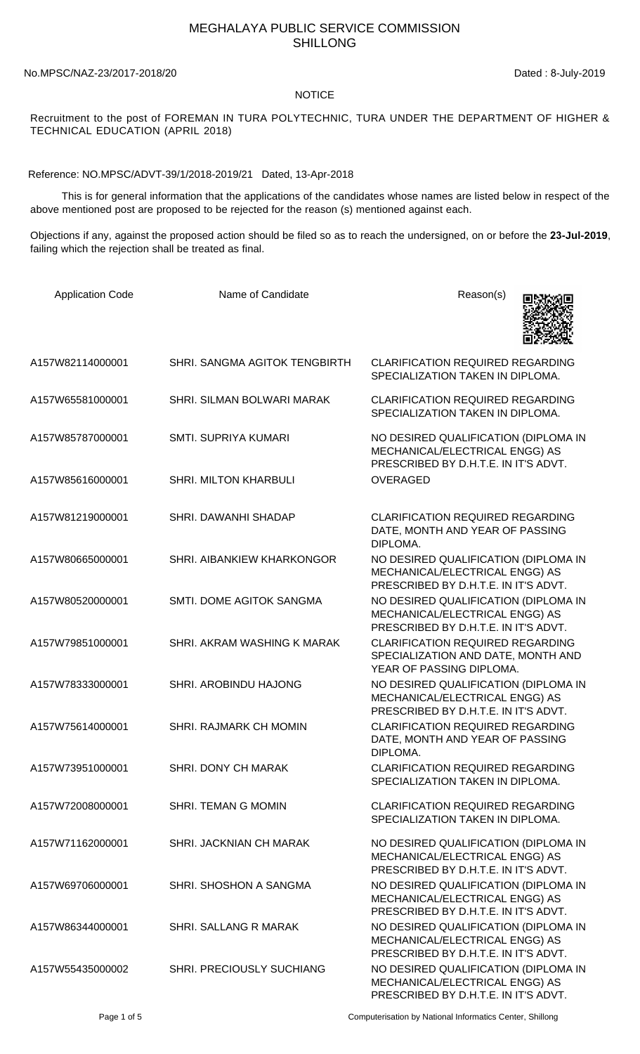## MEGHALAYA PUBLIC SERVICE COMMISSION SHILLONG

## No.MPSC/NAZ-23/2017-2018/20 Dated : 8-July-2019

## NOTICE

Recruitment to the post of FOREMAN IN TURA POLYTECHNIC, TURA UNDER THE DEPARTMENT OF HIGHER & TECHNICAL EDUCATION (APRIL 2018)

Reference: NO.MPSC/ADVT-39/1/2018-2019/21 Dated, 13-Apr-2018

 This is for general information that the applications of the candidates whose names are listed below in respect of the above mentioned post are proposed to be rejected for the reason (s) mentioned against each.

Objections if any, against the proposed action should be filed so as to reach the undersigned, on or before the **23-Jul-2019**, failing which the rejection shall be treated as final.

| <b>Application Code</b> | Name of Candidate                 | Reason(s)                                                                                                      |
|-------------------------|-----------------------------------|----------------------------------------------------------------------------------------------------------------|
| A157W82114000001        | SHRI. SANGMA AGITOK TENGBIRTH     | <b>CLARIFICATION REQUIRED REGARDING</b><br>SPECIALIZATION TAKEN IN DIPLOMA.                                    |
| A157W65581000001        | SHRI. SILMAN BOLWARI MARAK        | <b>CLARIFICATION REQUIRED REGARDING</b><br>SPECIALIZATION TAKEN IN DIPLOMA.                                    |
| A157W85787000001        | <b>SMTI. SUPRIYA KUMARI</b>       | NO DESIRED QUALIFICATION (DIPLOMA IN<br>MECHANICAL/ELECTRICAL ENGG) AS<br>PRESCRIBED BY D.H.T.E. IN IT'S ADVT. |
| A157W85616000001        | <b>SHRI. MILTON KHARBULI</b>      | <b>OVERAGED</b>                                                                                                |
| A157W81219000001        | SHRI, DAWANHI SHADAP              | <b>CLARIFICATION REQUIRED REGARDING</b><br>DATE, MONTH AND YEAR OF PASSING<br>DIPLOMA.                         |
| A157W80665000001        | <b>SHRI. AIBANKIEW KHARKONGOR</b> | NO DESIRED QUALIFICATION (DIPLOMA IN<br>MECHANICAL/ELECTRICAL ENGG) AS<br>PRESCRIBED BY D.H.T.E. IN IT'S ADVT. |
| A157W80520000001        | SMTI. DOME AGITOK SANGMA          | NO DESIRED QUALIFICATION (DIPLOMA IN<br>MECHANICAL/ELECTRICAL ENGG) AS<br>PRESCRIBED BY D.H.T.E. IN IT'S ADVT. |
| A157W79851000001        | SHRI. AKRAM WASHING K MARAK       | <b>CLARIFICATION REQUIRED REGARDING</b><br>SPECIALIZATION AND DATE, MONTH AND<br>YEAR OF PASSING DIPLOMA.      |
| A157W78333000001        | SHRI. AROBINDU HAJONG             | NO DESIRED QUALIFICATION (DIPLOMA IN<br>MECHANICAL/ELECTRICAL ENGG) AS<br>PRESCRIBED BY D.H.T.E. IN IT'S ADVT. |
| A157W75614000001        | <b>SHRI. RAJMARK CH MOMIN</b>     | <b>CLARIFICATION REQUIRED REGARDING</b><br>DATE, MONTH AND YEAR OF PASSING<br>DIPLOMA.                         |
| A157W73951000001        | SHRI. DONY CH MARAK               | <b>CLARIFICATION REQUIRED REGARDING</b><br>SPECIALIZATION TAKEN IN DIPLOMA.                                    |
| A157W72008000001        | <b>SHRI. TEMAN G MOMIN</b>        | <b>CLARIFICATION REQUIRED REGARDING</b><br>SPECIALIZATION TAKEN IN DIPLOMA.                                    |
| A157W71162000001        | SHRI. JACKNIAN CH MARAK           | NO DESIRED QUALIFICATION (DIPLOMA IN<br>MECHANICAL/ELECTRICAL ENGG) AS<br>PRESCRIBED BY D.H.T.E. IN IT'S ADVT. |
| A157W69706000001        | SHRI, SHOSHON A SANGMA            | NO DESIRED QUALIFICATION (DIPLOMA IN<br>MECHANICAL/ELECTRICAL ENGG) AS<br>PRESCRIBED BY D.H.T.E. IN IT'S ADVT. |
| A157W86344000001        | SHRI. SALLANG R MARAK             | NO DESIRED QUALIFICATION (DIPLOMA IN<br>MECHANICAL/ELECTRICAL ENGG) AS<br>PRESCRIBED BY D.H.T.E. IN IT'S ADVT. |
| A157W55435000002        | SHRI. PRECIOUSLY SUCHIANG         | NO DESIRED QUALIFICATION (DIPLOMA IN<br>MECHANICAL/ELECTRICAL ENGG) AS<br>PRESCRIBED BY D.H.T.E. IN IT'S ADVT. |

Page 1 of 5 Computerisation by National Informatics Center, Shillong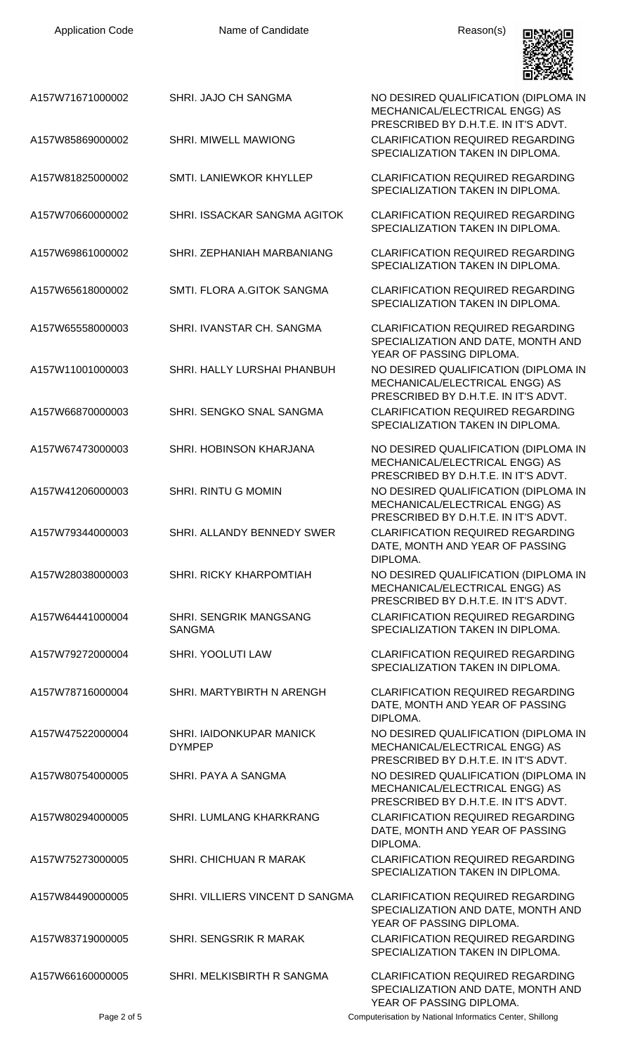| <b>Application Code</b> | Name of Candidate                              | Reason(s)                                                                                                           |
|-------------------------|------------------------------------------------|---------------------------------------------------------------------------------------------------------------------|
| A157W71671000002        | SHRI. JAJO CH SANGMA                           | NO DESIRED QUALIFICATION (DIPLOMA IN<br>MECHANICAL/ELECTRICAL ENGG) AS<br>PRESCRIBED BY D.H.T.E. IN IT'S ADVT.      |
| A157W85869000002        | SHRI. MIWELL MAWIONG                           | <b>CLARIFICATION REQUIRED REGARDING</b><br>SPECIALIZATION TAKEN IN DIPLOMA.                                         |
| A157W81825000002        | SMTI. LANIEWKOR KHYLLEP                        | <b>CLARIFICATION REQUIRED REGARDING</b><br>SPECIALIZATION TAKEN IN DIPLOMA.                                         |
| A157W70660000002        | SHRI. ISSACKAR SANGMA AGITOK                   | <b>CLARIFICATION REQUIRED REGARDING</b><br>SPECIALIZATION TAKEN IN DIPLOMA.                                         |
| A157W69861000002        | SHRI. ZEPHANIAH MARBANIANG                     | <b>CLARIFICATION REQUIRED REGARDING</b><br>SPECIALIZATION TAKEN IN DIPLOMA.                                         |
| A157W65618000002        | SMTI. FLORA A.GITOK SANGMA                     | <b>CLARIFICATION REQUIRED REGARDING</b><br>SPECIALIZATION TAKEN IN DIPLOMA.                                         |
| A157W65558000003        | SHRI. IVANSTAR CH. SANGMA                      | <b>CLARIFICATION REQUIRED REGARDING</b><br>SPECIALIZATION AND DATE, MONTH AND<br>YEAR OF PASSING DIPLOMA.           |
| A157W11001000003        | SHRI. HALLY LURSHAI PHANBUH                    | NO DESIRED QUALIFICATION (DIPLOMA IN<br>MECHANICAL/ELECTRICAL ENGG) AS                                              |
| A157W66870000003        | SHRI. SENGKO SNAL SANGMA                       | PRESCRIBED BY D.H.T.E. IN IT'S ADVT.<br><b>CLARIFICATION REQUIRED REGARDING</b><br>SPECIALIZATION TAKEN IN DIPLOMA. |
| A157W67473000003        | SHRI. HOBINSON KHARJANA                        | NO DESIRED QUALIFICATION (DIPLOMA IN<br>MECHANICAL/ELECTRICAL ENGG) AS                                              |
| A157W41206000003        | SHRI. RINTU G MOMIN                            | PRESCRIBED BY D.H.T.E. IN IT'S ADVT.<br>NO DESIRED QUALIFICATION (DIPLOMA IN<br>MECHANICAL/ELECTRICAL ENGG) AS      |
| A157W79344000003        | SHRI. ALLANDY BENNEDY SWER                     | PRESCRIBED BY D.H.T.E. IN IT'S ADVT.<br><b>CLARIFICATION REQUIRED REGARDING</b><br>DATE, MONTH AND YEAR OF PASSING  |
| A157W28038000003        | <b>SHRI. RICKY KHARPOMTIAH</b>                 | DIPLOMA.<br>NO DESIRED QUALIFICATION (DIPLOMA IN<br>MECHANICAL/ELECTRICAL ENGG) AS                                  |
| A157W64441000004        | <b>SHRI. SENGRIK MANGSANG</b><br><b>SANGMA</b> | PRESCRIBED BY D.H.T.E. IN IT'S ADVT.<br><b>CLARIFICATION REQUIRED REGARDING</b><br>SPECIALIZATION TAKEN IN DIPLOMA. |
| A157W79272000004        | SHRI. YOOLUTI LAW                              | <b>CLARIFICATION REQUIRED REGARDING</b><br>SPECIALIZATION TAKEN IN DIPLOMA.                                         |
| A157W78716000004        | SHRI. MARTYBIRTH N ARENGH                      | <b>CLARIFICATION REQUIRED REGARDING</b><br>DATE, MONTH AND YEAR OF PASSING<br>DIPLOMA.                              |
| A157W47522000004        | SHRI. IAIDONKUPAR MANICK<br><b>DYMPEP</b>      | NO DESIRED QUALIFICATION (DIPLOMA IN<br>MECHANICAL/ELECTRICAL ENGG) AS<br>PRESCRIBED BY D.H.T.E. IN IT'S ADVT.      |
| A157W80754000005        | SHRI. PAYA A SANGMA                            | NO DESIRED QUALIFICATION (DIPLOMA IN<br>MECHANICAL/ELECTRICAL ENGG) AS                                              |
| A157W80294000005        | SHRI. LUMLANG KHARKRANG                        | PRESCRIBED BY D.H.T.E. IN IT'S ADVT.<br><b>CLARIFICATION REQUIRED REGARDING</b><br>DATE, MONTH AND YEAR OF PASSING  |
| A157W75273000005        | SHRI. CHICHUAN R MARAK                         | DIPLOMA.<br><b>CLARIFICATION REQUIRED REGARDING</b><br>SPECIALIZATION TAKEN IN DIPLOMA.                             |
| A157W84490000005        | SHRI. VILLIERS VINCENT D SANGMA                | <b>CLARIFICATION REQUIRED REGARDING</b><br>SPECIALIZATION AND DATE, MONTH AND                                       |
| A157W83719000005        | SHRI. SENGSRIK R MARAK                         | YEAR OF PASSING DIPLOMA.<br><b>CLARIFICATION REQUIRED REGARDING</b><br>SPECIALIZATION TAKEN IN DIPLOMA.             |
| A157W66160000005        | SHRI. MELKISBIRTH R SANGMA                     | <b>CLARIFICATION REQUIRED REGARDING</b><br>SPECIALIZATION AND DATE, MONTH AND<br>YEAR OF PASSING DIPLOMA.           |

Page 2 of 5 Computerisation by National Informatics Center, Shillong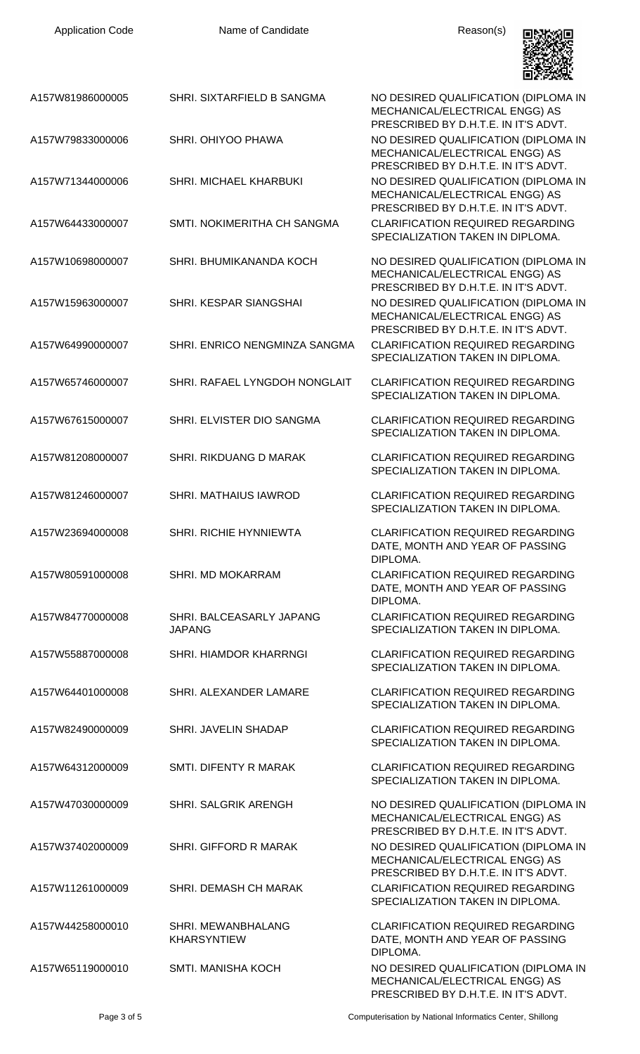| <b>Application Code</b> |  |  |  |
|-------------------------|--|--|--|
|-------------------------|--|--|--|

Name of Candidate **Reason(s)** 



| A157W81986000005 | SHRI. SIXTARFIELD B SANGMA                | NO DESIRED QUALIFICATION (DIPLOMA IN<br>MECHANICAL/ELECTRICAL ENGG) AS<br>PRESCRIBED BY D.H.T.E. IN IT'S ADVT. |
|------------------|-------------------------------------------|----------------------------------------------------------------------------------------------------------------|
| A157W79833000006 | SHRI. OHIYOO PHAWA                        | NO DESIRED QUALIFICATION (DIPLOMA IN<br>MECHANICAL/ELECTRICAL ENGG) AS<br>PRESCRIBED BY D.H.T.E. IN IT'S ADVT. |
| A157W71344000006 | <b>SHRI. MICHAEL KHARBUKI</b>             | NO DESIRED QUALIFICATION (DIPLOMA IN<br>MECHANICAL/ELECTRICAL ENGG) AS<br>PRESCRIBED BY D.H.T.E. IN IT'S ADVT. |
| A157W64433000007 | SMTI, NOKIMERITHA CH SANGMA               | <b>CLARIFICATION REQUIRED REGARDING</b><br>SPECIALIZATION TAKEN IN DIPLOMA.                                    |
| A157W10698000007 | SHRI, BHUMIKANANDA KOCH                   | NO DESIRED QUALIFICATION (DIPLOMA IN<br>MECHANICAL/ELECTRICAL ENGG) AS<br>PRESCRIBED BY D.H.T.E. IN IT'S ADVT. |
| A157W15963000007 | SHRI. KESPAR SIANGSHAI                    | NO DESIRED QUALIFICATION (DIPLOMA IN<br>MECHANICAL/ELECTRICAL ENGG) AS<br>PRESCRIBED BY D.H.T.E. IN IT'S ADVT. |
| A157W64990000007 | SHRI. ENRICO NENGMINZA SANGMA             | <b>CLARIFICATION REQUIRED REGARDING</b><br>SPECIALIZATION TAKEN IN DIPLOMA.                                    |
| A157W65746000007 | SHRI. RAFAEL LYNGDOH NONGLAIT             | <b>CLARIFICATION REQUIRED REGARDING</b><br>SPECIALIZATION TAKEN IN DIPLOMA.                                    |
| A157W67615000007 | SHRI. ELVISTER DIO SANGMA                 | <b>CLARIFICATION REQUIRED REGARDING</b><br>SPECIALIZATION TAKEN IN DIPLOMA.                                    |
| A157W81208000007 | SHRI. RIKDUANG D MARAK                    | <b>CLARIFICATION REQUIRED REGARDING</b><br>SPECIALIZATION TAKEN IN DIPLOMA.                                    |
| A157W81246000007 | <b>SHRI, MATHAIUS IAWROD</b>              | <b>CLARIFICATION REQUIRED REGARDING</b><br>SPECIALIZATION TAKEN IN DIPLOMA.                                    |
| A157W23694000008 | <b>SHRI, RICHIE HYNNIEWTA</b>             | <b>CLARIFICATION REQUIRED REGARDING</b><br>DATE, MONTH AND YEAR OF PASSING<br>DIPLOMA.                         |
| A157W80591000008 | SHRI. MD MOKARRAM                         | <b>CLARIFICATION REQUIRED REGARDING</b><br>DATE, MONTH AND YEAR OF PASSING<br>DIPLOMA.                         |
| A157W84770000008 | SHRI. BALCEASARLY JAPANG<br><b>JAPANG</b> | <b>CLARIFICATION REQUIRED REGARDING</b><br>SPECIALIZATION TAKEN IN DIPLOMA.                                    |
| A157W55887000008 | SHRI. HIAMDOR KHARRNGI                    | <b>CLARIFICATION REQUIRED REGARDING</b><br>SPECIALIZATION TAKEN IN DIPLOMA.                                    |
| A157W64401000008 | SHRI. ALEXANDER LAMARE                    | <b>CLARIFICATION REQUIRED REGARDING</b><br>SPECIALIZATION TAKEN IN DIPLOMA.                                    |
| A157W82490000009 | SHRI. JAVELIN SHADAP                      | <b>CLARIFICATION REQUIRED REGARDING</b><br>SPECIALIZATION TAKEN IN DIPLOMA.                                    |
| A157W64312000009 | SMTI. DIFENTY R MARAK                     | <b>CLARIFICATION REQUIRED REGARDING</b><br>SPECIALIZATION TAKEN IN DIPLOMA.                                    |
| A157W47030000009 | <b>SHRI. SALGRIK ARENGH</b>               | NO DESIRED QUALIFICATION (DIPLOMA IN<br>MECHANICAL/ELECTRICAL ENGG) AS<br>PRESCRIBED BY D.H.T.E. IN IT'S ADVT. |
| A157W37402000009 | SHRI. GIFFORD R MARAK                     | NO DESIRED QUALIFICATION (DIPLOMA IN<br>MECHANICAL/ELECTRICAL ENGG) AS<br>PRESCRIBED BY D.H.T.E. IN IT'S ADVT. |
| A157W11261000009 | <b>SHRI. DEMASH CH MARAK</b>              | <b>CLARIFICATION REQUIRED REGARDING</b><br>SPECIALIZATION TAKEN IN DIPLOMA.                                    |
| A157W44258000010 | SHRI. MEWANBHALANG<br><b>KHARSYNTIEW</b>  | <b>CLARIFICATION REQUIRED REGARDING</b><br>DATE, MONTH AND YEAR OF PASSING<br>DIPLOMA.                         |
| A157W65119000010 | <b>SMTI. MANISHA KOCH</b>                 | NO DESIRED QUALIFICATION (DIPLOMA IN<br>MECHANICAL/ELECTRICAL ENGG) AS<br>PRESCRIBED BY D.H.T.E. IN IT'S ADVT. |

Page 3 of 5 Computerisation by National Informatics Center, Shillong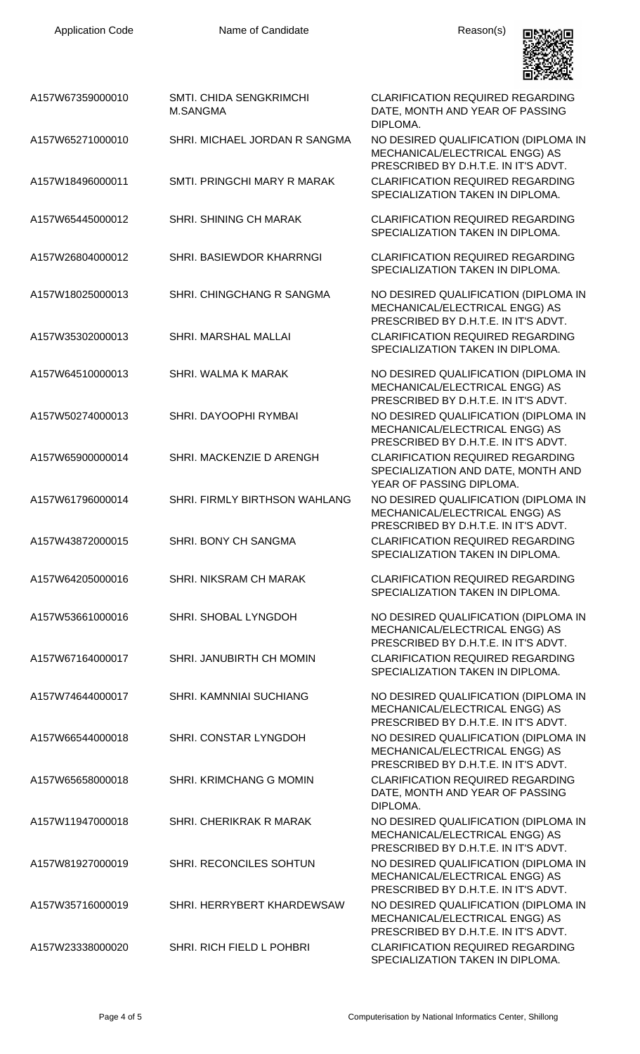

| A157W67359000010 | <b>SMTI. CHIDA SENGKRIMCHI</b><br>M.SANGMA | <b>CLARIFICATION REQUIRED REGARDING</b><br>DATE, MONTH AND YEAR OF PASSING<br>DIPLOMA.                         |
|------------------|--------------------------------------------|----------------------------------------------------------------------------------------------------------------|
| A157W65271000010 | SHRI. MICHAEL JORDAN R SANGMA              | NO DESIRED QUALIFICATION (DIPLOMA IN<br>MECHANICAL/ELECTRICAL ENGG) AS<br>PRESCRIBED BY D.H.T.E. IN IT'S ADVT. |
| A157W18496000011 | SMTI. PRINGCHI MARY R MARAK                | <b>CLARIFICATION REQUIRED REGARDING</b><br>SPECIALIZATION TAKEN IN DIPLOMA.                                    |
| A157W65445000012 | <b>SHRI. SHINING CH MARAK</b>              | <b>CLARIFICATION REQUIRED REGARDING</b><br>SPECIALIZATION TAKEN IN DIPLOMA.                                    |
| A157W26804000012 | SHRI. BASIEWDOR KHARRNGI                   | <b>CLARIFICATION REQUIRED REGARDING</b><br>SPECIALIZATION TAKEN IN DIPLOMA.                                    |
| A157W18025000013 | SHRI. CHINGCHANG R SANGMA                  | NO DESIRED QUALIFICATION (DIPLOMA IN<br>MECHANICAL/ELECTRICAL ENGG) AS<br>PRESCRIBED BY D.H.T.E. IN IT'S ADVT. |
| A157W35302000013 | SHRI. MARSHAL MALLAI                       | <b>CLARIFICATION REQUIRED REGARDING</b><br>SPECIALIZATION TAKEN IN DIPLOMA.                                    |
| A157W64510000013 | SHRI. WALMA K MARAK                        | NO DESIRED QUALIFICATION (DIPLOMA IN<br>MECHANICAL/ELECTRICAL ENGG) AS<br>PRESCRIBED BY D.H.T.E. IN IT'S ADVT. |
| A157W50274000013 | SHRI. DAYOOPHI RYMBAI                      | NO DESIRED QUALIFICATION (DIPLOMA IN<br>MECHANICAL/ELECTRICAL ENGG) AS<br>PRESCRIBED BY D.H.T.E. IN IT'S ADVT. |
| A157W65900000014 | SHRI. MACKENZIE D ARENGH                   | <b>CLARIFICATION REQUIRED REGARDING</b><br>SPECIALIZATION AND DATE, MONTH AND<br>YEAR OF PASSING DIPLOMA.      |
| A157W61796000014 | SHRI. FIRMLY BIRTHSON WAHLANG              | NO DESIRED QUALIFICATION (DIPLOMA IN<br>MECHANICAL/ELECTRICAL ENGG) AS<br>PRESCRIBED BY D.H.T.E. IN IT'S ADVT. |
| A157W43872000015 | SHRI. BONY CH SANGMA                       | <b>CLARIFICATION REQUIRED REGARDING</b><br>SPECIALIZATION TAKEN IN DIPLOMA.                                    |
| A157W64205000016 | SHRI. NIKSRAM CH MARAK                     | <b>CLARIFICATION REQUIRED REGARDING</b><br>SPECIALIZATION TAKEN IN DIPLOMA.                                    |
| A157W53661000016 | SHRI. SHOBAL LYNGDOH                       | NO DESIRED QUALIFICATION (DIPLOMA IN<br>MECHANICAL/ELECTRICAL ENGG) AS<br>PRESCRIBED BY D.H.T.E. IN IT'S ADVT. |
| A157W67164000017 | SHRI. JANUBIRTH CH MOMIN                   | <b>CLARIFICATION REQUIRED REGARDING</b><br>SPECIALIZATION TAKEN IN DIPLOMA.                                    |
| A157W74644000017 | SHRI. KAMNNIAI SUCHIANG                    | NO DESIRED QUALIFICATION (DIPLOMA IN<br>MECHANICAL/ELECTRICAL ENGG) AS<br>PRESCRIBED BY D.H.T.E. IN IT'S ADVT. |
| A157W66544000018 | SHRI. CONSTAR LYNGDOH                      | NO DESIRED QUALIFICATION (DIPLOMA IN<br>MECHANICAL/ELECTRICAL ENGG) AS<br>PRESCRIBED BY D.H.T.E. IN IT'S ADVT. |
| A157W65658000018 | SHRI. KRIMCHANG G MOMIN                    | <b>CLARIFICATION REQUIRED REGARDING</b><br>DATE, MONTH AND YEAR OF PASSING<br>DIPLOMA.                         |
| A157W11947000018 | SHRI. CHERIKRAK R MARAK                    | NO DESIRED QUALIFICATION (DIPLOMA IN<br>MECHANICAL/ELECTRICAL ENGG) AS<br>PRESCRIBED BY D.H.T.E. IN IT'S ADVT. |
| A157W81927000019 | SHRI. RECONCILES SOHTUN                    | NO DESIRED QUALIFICATION (DIPLOMA IN<br>MECHANICAL/ELECTRICAL ENGG) AS<br>PRESCRIBED BY D.H.T.E. IN IT'S ADVT. |
| A157W35716000019 | SHRI. HERRYBERT KHARDEWSAW                 | NO DESIRED QUALIFICATION (DIPLOMA IN<br>MECHANICAL/ELECTRICAL ENGG) AS<br>PRESCRIBED BY D.H.T.E. IN IT'S ADVT. |
| A157W23338000020 | SHRI. RICH FIELD L POHBRI                  | <b>CLARIFICATION REQUIRED REGARDING</b><br>SPECIALIZATION TAKEN IN DIPLOMA.                                    |